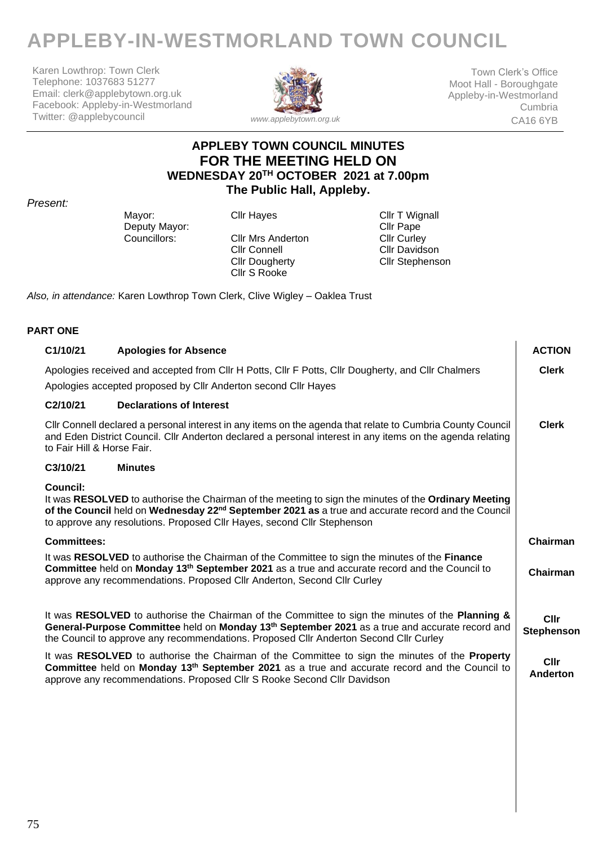# **APPLEBY-IN-WESTMORLAND TOWN COUNCIL**

Karen Lowthrop: Town Clerk Telephone: 1037683 51277 Email: clerk@applebytown.org.uk Facebook: Appleby-in-Westmorland Twitter: @applebycouncil



Town Clerk's Office Moot Hall - Boroughgate Appleby-in-Westmorland Cumbria CA16 6YB

## **APPLEBY TOWN COUNCIL MINUTES FOR THE MEETING HELD ON WEDNESDAY 20 TH OCTOBER 2021 at 7.00pm The Public Hall, Appleby.**

#### *Present:*

Mayor: Cllr Hayes Cult Hayes Cllr T Wignall<br>Deputy Mayor: Cllr Pape Deputy Mayor: Cllr Pape<br>
Councillors: Cllr Mrs Anderton Cllr Curley

Cllr Mrs Anderton<br>Cllr Connell Cllr Dougherty Cllr S Rooke

Cllr Davidson Cllr Stephenson

*Also, in attendance:* Karen Lowthrop Town Clerk, Clive Wigley – Oaklea Trust

#### **PART ONE**

| C1/10/21                   | <b>Apologies for Absence</b>                                                                                                                                                                                                                                                                            | <b>ACTION</b>             |
|----------------------------|---------------------------------------------------------------------------------------------------------------------------------------------------------------------------------------------------------------------------------------------------------------------------------------------------------|---------------------------|
|                            | Apologies received and accepted from CIIr H Potts, CIIr F Potts, CIIr Dougherty, and CIIr Chalmers<br>Apologies accepted proposed by Cllr Anderton second Cllr Hayes                                                                                                                                    | <b>Clerk</b>              |
| C2/10/21                   | <b>Declarations of Interest</b>                                                                                                                                                                                                                                                                         |                           |
| to Fair Hill & Horse Fair. | CIIr Connell declared a personal interest in any items on the agenda that relate to Cumbria County Council<br>and Eden District Council. Cllr Anderton declared a personal interest in any items on the agenda relating                                                                                 | <b>Clerk</b>              |
| C3/10/21                   | <b>Minutes</b>                                                                                                                                                                                                                                                                                          |                           |
| <b>Council:</b>            | It was RESOLVED to authorise the Chairman of the meeting to sign the minutes of the Ordinary Meeting<br>of the Council held on Wednesday 22 <sup>nd</sup> September 2021 as a true and accurate record and the Council<br>to approve any resolutions. Proposed Cllr Hayes, second Cllr Stephenson       |                           |
| <b>Committees:</b>         |                                                                                                                                                                                                                                                                                                         | Chairman                  |
|                            | It was RESOLVED to authorise the Chairman of the Committee to sign the minutes of the Finance<br>Committee held on Monday 13 <sup>th</sup> September 2021 as a true and accurate record and the Council to<br>approve any recommendations. Proposed Cllr Anderton, Second Cllr Curley                   | Chairman                  |
|                            | It was RESOLVED to authorise the Chairman of the Committee to sign the minutes of the Planning &<br>General-Purpose Committee held on Monday 13 <sup>th</sup> September 2021 as a true and accurate record and<br>the Council to approve any recommendations. Proposed Cllr Anderton Second Cllr Curley | <b>Cllr</b><br>Stephenson |
|                            | It was RESOLVED to authorise the Chairman of the Committee to sign the minutes of the Property<br>Committee held on Monday 13 <sup>th</sup> September 2021 as a true and accurate record and the Council to<br>approve any recommendations. Proposed CIIr S Rooke Second CIIr Davidson                  | Cllr<br>Anderton          |
|                            |                                                                                                                                                                                                                                                                                                         |                           |
|                            |                                                                                                                                                                                                                                                                                                         |                           |
|                            |                                                                                                                                                                                                                                                                                                         |                           |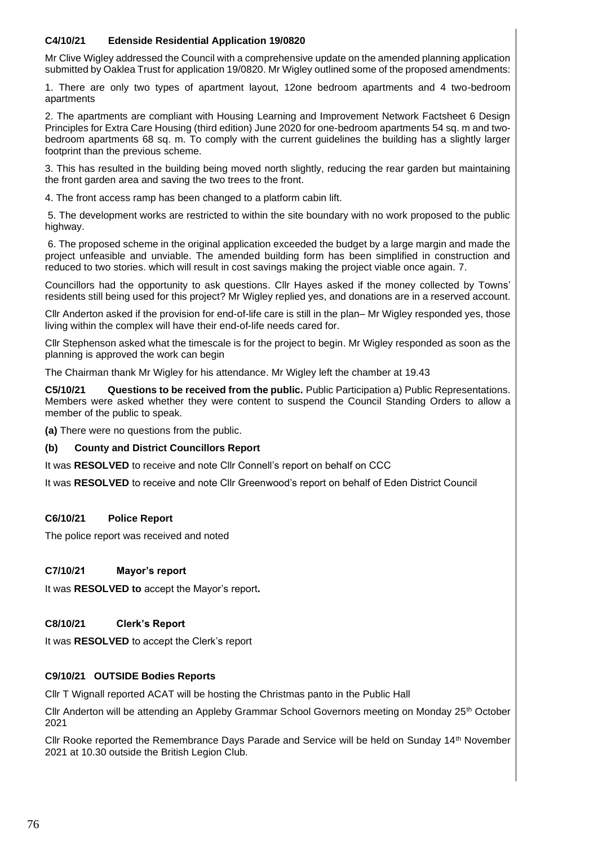#### **C4/10/21 Edenside Residential Application 19/0820**

Mr Clive Wigley addressed the Council with a comprehensive update on the amended planning application submitted by Oaklea Trust for application 19/0820. Mr Wigley outlined some of the proposed amendments:

1. There are only two types of apartment layout, 12one bedroom apartments and 4 two-bedroom apartments

2. The apartments are compliant with Housing Learning and Improvement Network Factsheet 6 Design Principles for Extra Care Housing (third edition) June 2020 for one-bedroom apartments 54 sq. m and twobedroom apartments 68 sq. m. To comply with the current guidelines the building has a slightly larger footprint than the previous scheme.

3. This has resulted in the building being moved north slightly, reducing the rear garden but maintaining the front garden area and saving the two trees to the front.

4. The front access ramp has been changed to a platform cabin lift.

5. The development works are restricted to within the site boundary with no work proposed to the public highway.

6. The proposed scheme in the original application exceeded the budget by a large margin and made the project unfeasible and unviable. The amended building form has been simplified in construction and reduced to two stories. which will result in cost savings making the project viable once again. 7.

Councillors had the opportunity to ask questions. Cllr Hayes asked if the money collected by Towns' residents still being used for this project? Mr Wigley replied yes, and donations are in a reserved account.

Cllr Anderton asked if the provision for end-of-life care is still in the plan– Mr Wigley responded yes, those living within the complex will have their end-of-life needs cared for.

Cllr Stephenson asked what the timescale is for the project to begin. Mr Wigley responded as soon as the planning is approved the work can begin

The Chairman thank Mr Wigley for his attendance. Mr Wigley left the chamber at 19.43

**C5/10/21 Questions to be received from the public.** Public Participation a) Public Representations. Members were asked whether they were content to suspend the Council Standing Orders to allow a member of the public to speak.

**(a)** There were no questions from the public.

#### **(b) County and District Councillors Report**

It was **RESOLVED** to receive and note Cllr Connell's report on behalf on CCC

It was **RESOLVED** to receive and note Cllr Greenwood's report on behalf of Eden District Council

#### **C6/10/21 Police Report**

The police report was received and noted

#### **C7/10/21 Mayor's report**

It was **RESOLVED to** accept the Mayor's report**.** 

#### **C8/10/21 Clerk's Report**

It was **RESOLVED** to accept the Clerk's report

#### **C9/10/21 OUTSIDE Bodies Reports**

Cllr T Wignall reported ACAT will be hosting the Christmas panto in the Public Hall

Cllr Anderton will be attending an Appleby Grammar School Governors meeting on Monday 25th October 2021

Cllr Rooke reported the Remembrance Days Parade and Service will be held on Sunday 14th November 2021 at 10.30 outside the British Legion Club.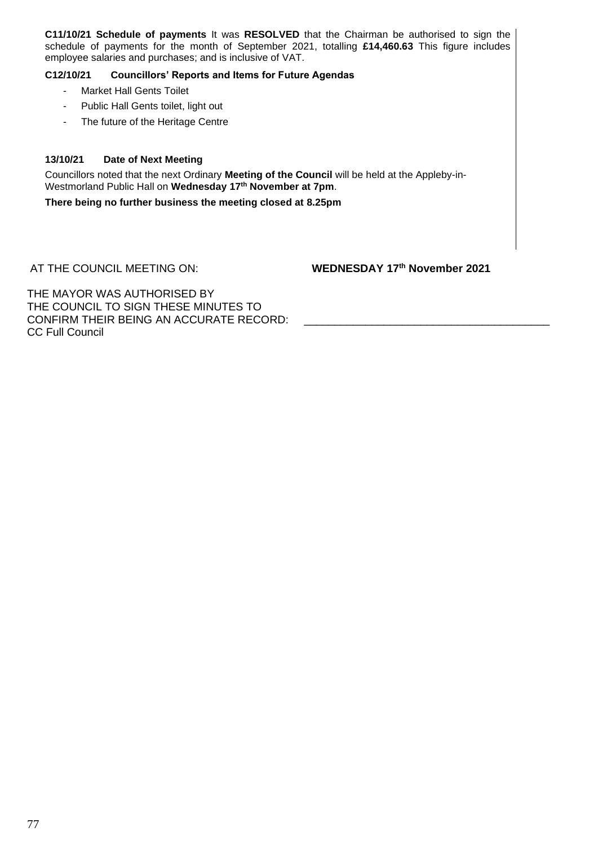**C11/10/21 Schedule of payments** It was **RESOLVED** that the Chairman be authorised to sign the schedule of payments for the month of September 2021, totalling **£14,460.63** This figure includes employee salaries and purchases; and is inclusive of VAT.

#### **C12/10/21 Councillors' Reports and Items for Future Agendas**

- Market Hall Gents Toilet
- Public Hall Gents toilet, light out
- The future of the Heritage Centre

#### **13/10/21 Date of Next Meeting**

Councillors noted that the next Ordinary **Meeting of the Council** will be held at the Appleby-in-Westmorland Public Hall on **Wednesday 17th November at 7pm**.

**There being no further business the meeting closed at 8.25pm**

AT THE COUNCIL MEETING ON: **WEDNESDAY 17th November 2021**

THE MAYOR WAS AUTHORISED BY THE COUNCIL TO SIGN THESE MINUTES TO CONFIRM THEIR BEING AN ACCURATE RECORD: CC Full Council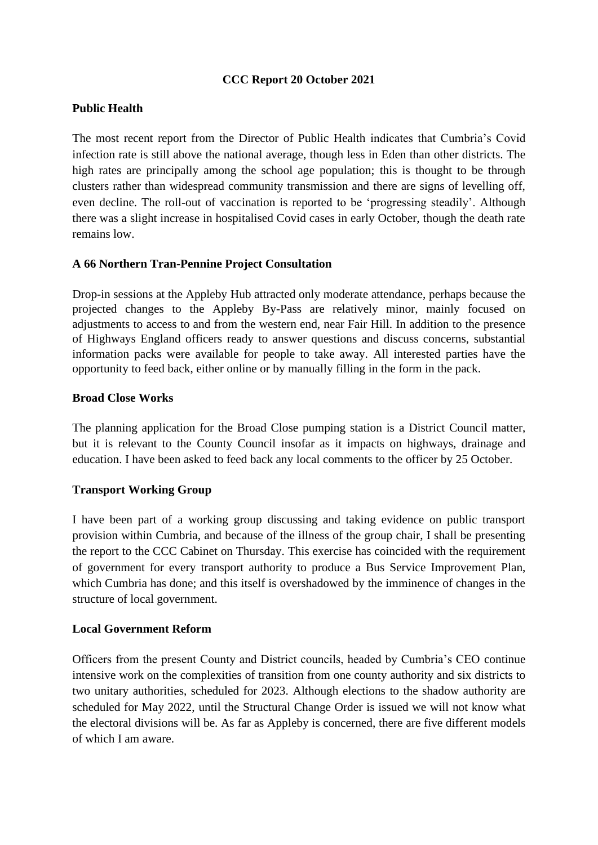## **CCC Report 20 October 2021**

## **Public Health**

The most recent report from the Director of Public Health indicates that Cumbria's Covid infection rate is still above the national average, though less in Eden than other districts. The high rates are principally among the school age population; this is thought to be through clusters rather than widespread community transmission and there are signs of levelling off, even decline. The roll-out of vaccination is reported to be 'progressing steadily'. Although there was a slight increase in hospitalised Covid cases in early October, though the death rate remains low.

### **A 66 Northern Tran-Pennine Project Consultation**

Drop-in sessions at the Appleby Hub attracted only moderate attendance, perhaps because the projected changes to the Appleby By-Pass are relatively minor, mainly focused on adjustments to access to and from the western end, near Fair Hill. In addition to the presence of Highways England officers ready to answer questions and discuss concerns, substantial information packs were available for people to take away. All interested parties have the opportunity to feed back, either online or by manually filling in the form in the pack.

#### **Broad Close Works**

The planning application for the Broad Close pumping station is a District Council matter, but it is relevant to the County Council insofar as it impacts on highways, drainage and education. I have been asked to feed back any local comments to the officer by 25 October.

## **Transport Working Group**

I have been part of a working group discussing and taking evidence on public transport provision within Cumbria, and because of the illness of the group chair, I shall be presenting the report to the CCC Cabinet on Thursday. This exercise has coincided with the requirement of government for every transport authority to produce a Bus Service Improvement Plan, which Cumbria has done; and this itself is overshadowed by the imminence of changes in the structure of local government.

#### **Local Government Reform**

Officers from the present County and District councils, headed by Cumbria's CEO continue intensive work on the complexities of transition from one county authority and six districts to two unitary authorities, scheduled for 2023. Although elections to the shadow authority are scheduled for May 2022, until the Structural Change Order is issued we will not know what the electoral divisions will be. As far as Appleby is concerned, there are five different models of which I am aware.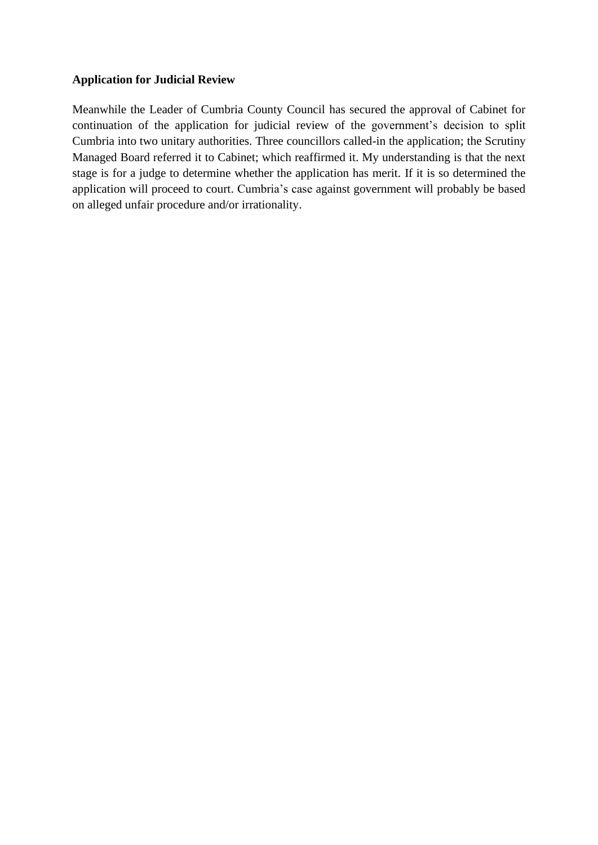## **Application for Judicial Review**

Meanwhile the Leader of Cumbria County Council has secured the approval of Cabinet for continuation of the application for judicial review of the government's decision to split Cumbria into two unitary authorities. Three councillors called-in the application; the Scrutiny Managed Board referred it to Cabinet; which reaffirmed it. My understanding is that the next stage is for a judge to determine whether the application has merit. If it is so determined the application will proceed to court. Cumbria's case against government will probably be based on alleged unfair procedure and/or irrationality.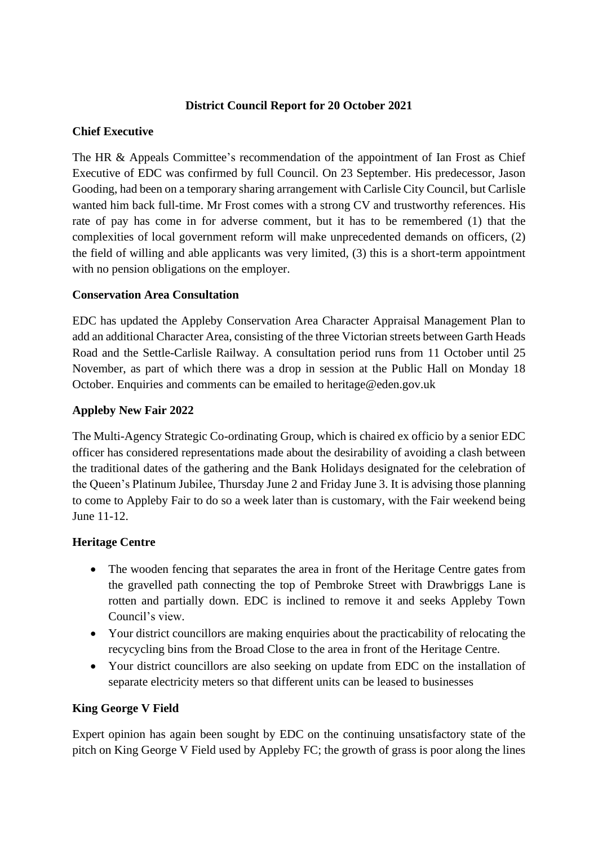## **District Council Report for 20 October 2021**

## **Chief Executive**

The HR & Appeals Committee's recommendation of the appointment of Ian Frost as Chief Executive of EDC was confirmed by full Council. On 23 September. His predecessor, Jason Gooding, had been on a temporary sharing arrangement with Carlisle City Council, but Carlisle wanted him back full-time. Mr Frost comes with a strong CV and trustworthy references. His rate of pay has come in for adverse comment, but it has to be remembered (1) that the complexities of local government reform will make unprecedented demands on officers, (2) the field of willing and able applicants was very limited, (3) this is a short-term appointment with no pension obligations on the employer.

### **Conservation Area Consultation**

EDC has updated the Appleby Conservation Area Character Appraisal Management Plan to add an additional Character Area, consisting of the three Victorian streets between Garth Heads Road and the Settle-Carlisle Railway. A consultation period runs from 11 October until 25 November, as part of which there was a drop in session at the Public Hall on Monday 18 October. Enquiries and comments can be emailed to heritage@eden.gov.uk

## **Appleby New Fair 2022**

The Multi-Agency Strategic Co-ordinating Group, which is chaired ex officio by a senior EDC officer has considered representations made about the desirability of avoiding a clash between the traditional dates of the gathering and the Bank Holidays designated for the celebration of the Queen's Platinum Jubilee, Thursday June 2 and Friday June 3. It is advising those planning to come to Appleby Fair to do so a week later than is customary, with the Fair weekend being June 11-12.

## **Heritage Centre**

- The wooden fencing that separates the area in front of the Heritage Centre gates from the gravelled path connecting the top of Pembroke Street with Drawbriggs Lane is rotten and partially down. EDC is inclined to remove it and seeks Appleby Town Council's view.
- Your district councillors are making enquiries about the practicability of relocating the recycycling bins from the Broad Close to the area in front of the Heritage Centre.
- Your district councillors are also seeking on update from EDC on the installation of separate electricity meters so that different units can be leased to businesses

## **King George V Field**

Expert opinion has again been sought by EDC on the continuing unsatisfactory state of the pitch on King George V Field used by Appleby FC; the growth of grass is poor along the lines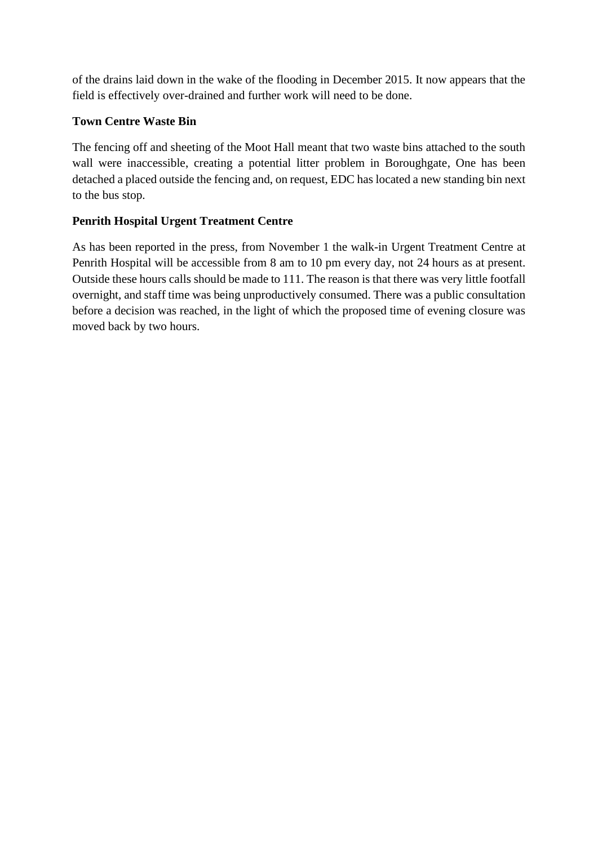of the drains laid down in the wake of the flooding in December 2015. It now appears that the field is effectively over-drained and further work will need to be done.

## **Town Centre Waste Bin**

The fencing off and sheeting of the Moot Hall meant that two waste bins attached to the south wall were inaccessible, creating a potential litter problem in Boroughgate, One has been detached a placed outside the fencing and, on request, EDC has located a new standing bin next to the bus stop.

## **Penrith Hospital Urgent Treatment Centre**

As has been reported in the press, from November 1 the walk-in Urgent Treatment Centre at Penrith Hospital will be accessible from 8 am to 10 pm every day, not 24 hours as at present. Outside these hours calls should be made to 111. The reason is that there was very little footfall overnight, and staff time was being unproductively consumed. There was a public consultation before a decision was reached, in the light of which the proposed time of evening closure was moved back by two hours.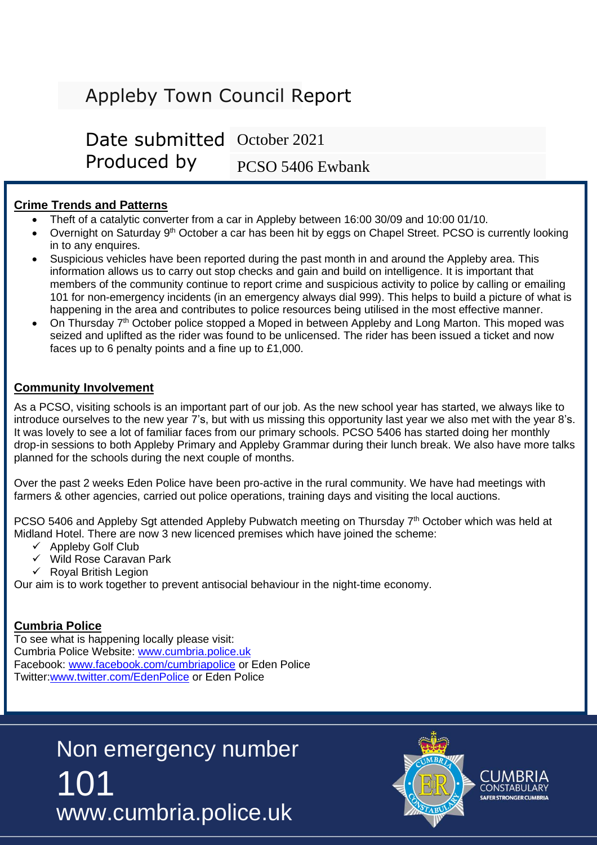# Appleby Town Council Report

Date submitted October 2021Produced by PCSO 5406 Ewbank

## **Crime Trends and Patterns**

- Theft of a catalytic converter from a car in Appleby between 16:00 30/09 and 10:00 01/10.
- Overnight on Saturday 9<sup>th</sup> October a car has been hit by eggs on Chapel Street. PCSO is currently looking in to any enquires.
- Suspicious vehicles have been reported during the past month in and around the Appleby area. This information allows us to carry out stop checks and gain and build on intelligence. It is important that members of the community continue to report crime and suspicious activity to police by calling or emailing 101 for non-emergency incidents (in an emergency always dial 999). This helps to build a picture of what is happening in the area and contributes to police resources being utilised in the most effective manner.
- On Thursday  $7<sup>th</sup>$  October police stopped a Moped in between Appleby and Long Marton. This moped was seized and uplifted as the rider was found to be unlicensed. The rider has been issued a ticket and now faces up to 6 penalty points and a fine up to £1,000.

## **Community Involvement**

As a PCSO, visiting schools is an important part of our job. As the new school year has started, we always like to introduce ourselves to the new year 7's, but with us missing this opportunity last year we also met with the year 8's. It was lovely to see a lot of familiar faces from our primary schools. PCSO 5406 has started doing her monthly drop-in sessions to both Appleby Primary and Appleby Grammar during their lunch break. We also have more talks planned for the schools during the next couple of months.

Over the past 2 weeks Eden Police have been pro-active in the rural community. We have had meetings with farmers & other agencies, carried out police operations, training days and visiting the local auctions.

PCSO 5406 and Appleby Sgt attended Appleby Pubwatch meeting on Thursday 7<sup>th</sup> October which was held at Midland Hotel. There are now 3 new licenced premises which have joined the scheme:

- ✓ Appleby Golf Club
- ✓ Wild Rose Caravan Park
- $\checkmark$  Royal British Legion

Our aim is to work together to prevent antisocial behaviour in the night-time economy.

## **Cumbria Police**

To see what is happening locally please visit: Cumbria Police Website: [www.cumbria.police.uk](http://www.cumbria.police.uk/) Facebook: [www.facebook.com/cumbriapolice](http://www.facebook.com/cumbriapolice) or Eden Police Twitter[:www.twitter.com/EdenPolice](http://www.twitter.com/EdenPolice) or Eden Police

> 101 www.cumbria.police.uk Non emergency number

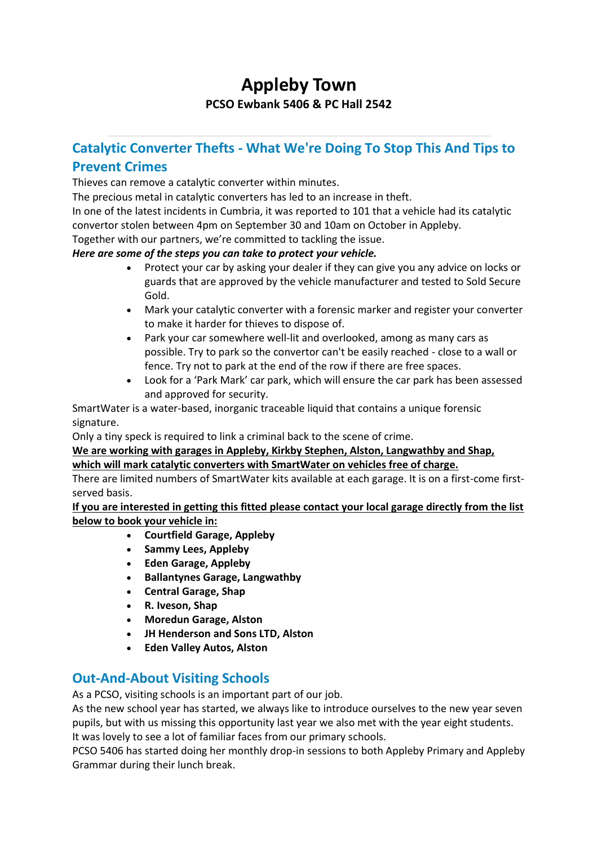## **Appleby Town PCSO Ewbank 5406 & PC Hall 2542**

## **Catalytic Converter Thefts - What We're Doing To Stop This And Tips to Prevent Crimes**

Thieves can remove a catalytic converter within minutes.

The precious metal in catalytic converters has led to an increase in theft.

In one of the latest incidents in Cumbria, it was reported to 101 that a vehicle had its catalytic convertor stolen between 4pm on September 30 and 10am on October in Appleby.

Together with our partners, we're committed to tackling the issue.

### *Here are some of the steps you can take to protect your vehicle.*

- Protect your car by asking your dealer if they can give you any advice on locks or guards that are approved by the vehicle manufacturer and tested to Sold Secure Gold.
- Mark your catalytic converter with a forensic marker and register your converter to make it harder for thieves to dispose of.
- Park your car somewhere well-lit and overlooked, among as many cars as possible. Try to park so the convertor can't be easily reached - close to a wall or fence. Try not to park at the end of the row if there are free spaces.
- Look for a 'Park Mark' car park, which will ensure the car park has been assessed and approved for security.

SmartWater is a water-based, inorganic traceable liquid that contains a unique forensic signature.

Only a tiny speck is required to link a criminal back to the scene of crime.

**We are working with garages in Appleby, Kirkby Stephen, Alston, Langwathby and Shap, which will mark catalytic converters with SmartWater on vehicles free of charge.**

There are limited numbers of SmartWater kits available at each garage. It is on a first-come firstserved basis.

**If you are interested in getting this fitted please contact your local garage directly from the list below to book your vehicle in:**

- **Courtfield Garage, Appleby**
- **Sammy Lees, Appleby**
- **Eden Garage, Appleby**
- **Ballantynes Garage, Langwathby**
- **Central Garage, Shap**
- **R. Iveson, Shap**
- **Moredun Garage, Alston**
- **JH Henderson and Sons LTD, Alston**
- **Eden Valley Autos, Alston**

## **Out-And-About Visiting Schools**

As a PCSO, visiting schools is an important part of our job.

As the new school year has started, we always like to introduce ourselves to the new year seven pupils, but with us missing this opportunity last year we also met with the year eight students. It was lovely to see a lot of familiar faces from our primary schools.

PCSO 5406 has started doing her monthly drop-in sessions to both Appleby Primary and Appleby Grammar during their lunch break.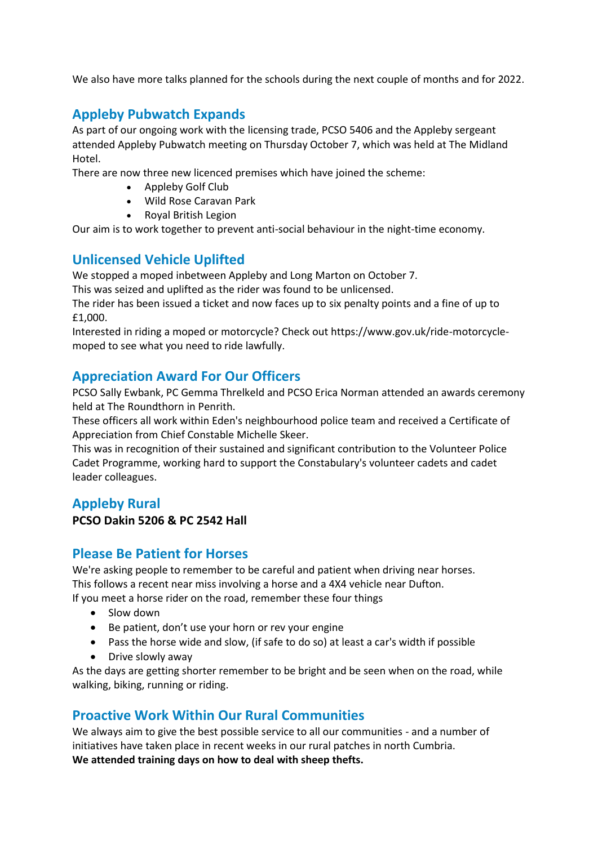We also have more talks planned for the schools during the next couple of months and for 2022.

## **Appleby Pubwatch Expands**

As part of our ongoing work with the licensing trade, PCSO 5406 and the Appleby sergeant attended Appleby Pubwatch meeting on Thursday October 7, which was held at The Midland Hotel.

There are now three new licenced premises which have joined the scheme:

- Appleby Golf Club
- Wild Rose Caravan Park
- Royal British Legion

Our aim is to work together to prevent anti-social behaviour in the night-time economy.

## **Unlicensed Vehicle Uplifted**

We stopped a moped inbetween Appleby and Long Marton on October 7.

This was seized and uplifted as the rider was found to be unlicensed.

The rider has been issued a ticket and now faces up to six penalty points and a fine of up to £1,000.

Interested in riding a moped or motorcycle? Check out https://www.gov.uk/ride-motorcyclemoped to see what you need to ride lawfully.

## **Appreciation Award For Our Officers**

PCSO Sally Ewbank, PC Gemma Threlkeld and PCSO Erica Norman attended an awards ceremony held at The Roundthorn in Penrith.

These officers all work within Eden's neighbourhood police team and received a Certificate of Appreciation from Chief Constable Michelle Skeer.

This was in recognition of their sustained and significant contribution to the Volunteer Police Cadet Programme, working hard to support the Constabulary's volunteer cadets and cadet leader colleagues.

## **Appleby Rural**

## **PCSO Dakin 5206 & PC 2542 Hall**

## **Please Be Patient for Horses**

We're asking people to remember to be careful and patient when driving near horses. This follows a recent near miss involving a horse and a 4X4 vehicle near Dufton.

If you meet a horse rider on the road, remember these four things

- Slow down
- Be patient, don't use your horn or rev your engine
- Pass the horse wide and slow, (if safe to do so) at least a car's width if possible
- Drive slowly away

As the days are getting shorter remember to be bright and be seen when on the road, while walking, biking, running or riding.

## **Proactive Work Within Our Rural Communities**

We always aim to give the best possible service to all our communities - and a number of initiatives have taken place in recent weeks in our rural patches in north Cumbria. **We attended training days on how to deal with sheep thefts.**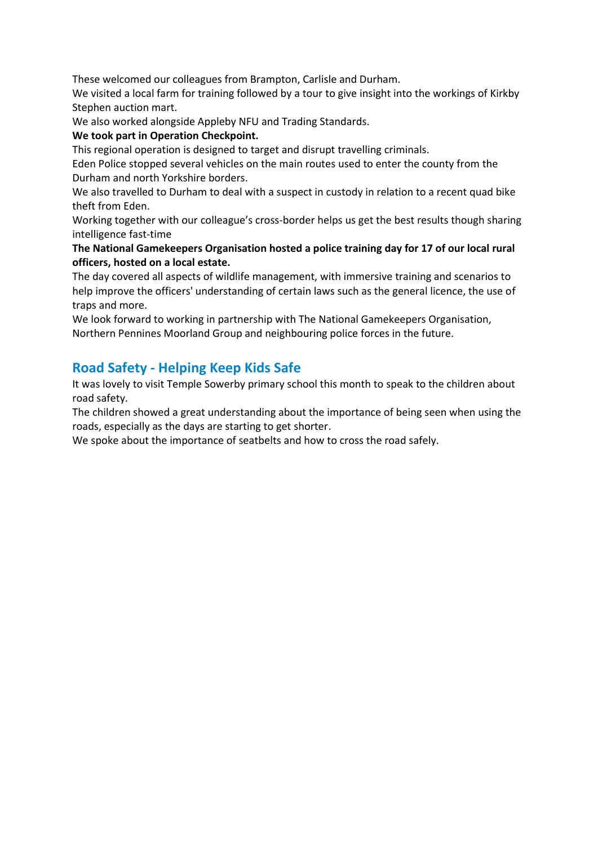These welcomed our colleagues from Brampton, Carlisle and Durham.

We visited a local farm for training followed by a tour to give insight into the workings of Kirkby Stephen auction mart.

We also worked alongside Appleby NFU and Trading Standards.

## **We took part in Operation Checkpoint.**

This regional operation is designed to target and disrupt travelling criminals.

Eden Police stopped several vehicles on the main routes used to enter the county from the Durham and north Yorkshire borders.

We also travelled to Durham to deal with a suspect in custody in relation to a recent quad bike theft from Eden.

Working together with our colleague's cross-border helps us get the best results though sharing intelligence fast-time

### **The National Gamekeepers Organisation hosted a police training day for 17 of our local rural officers, hosted on a local estate.**

The day covered all aspects of wildlife management, with immersive training and scenarios to help improve the officers' understanding of certain laws such as the general licence, the use of traps and more.

We look forward to working in partnership with The National Gamekeepers Organisation, Northern Pennines Moorland Group and neighbouring police forces in the future.

## **Road Safety - Helping Keep Kids Safe**

It was lovely to visit Temple Sowerby primary school this month to speak to the children about road safety.

The children showed a great understanding about the importance of being seen when using the roads, especially as the days are starting to get shorter.

We spoke about the importance of seatbelts and how to cross the road safely.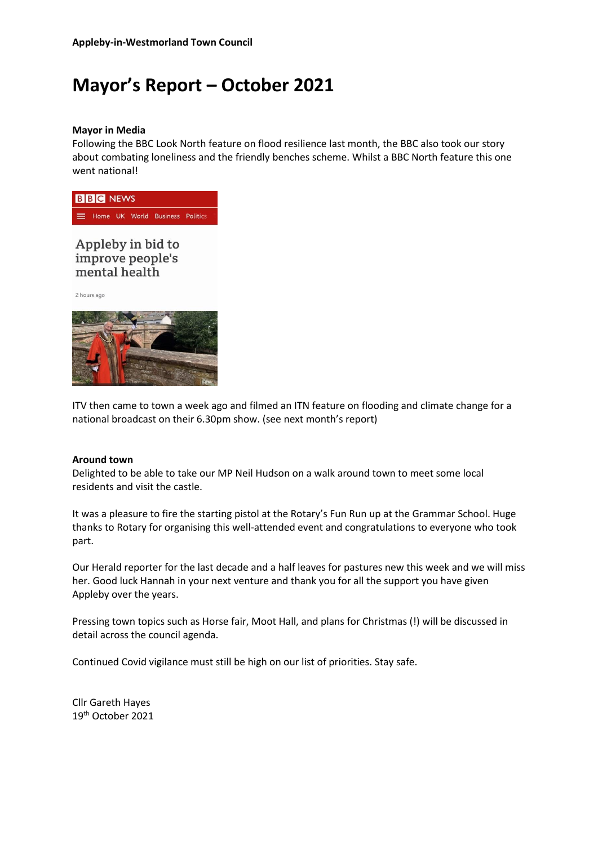# **Mayor's Report – October 2021**

#### **Mayor in Media**

Following the BBC Look North feature on flood resilience last month, the BBC also took our story about combating loneliness and the friendly benches scheme. Whilst a BBC North feature this one went national!



## Appleby in bid to improve people's mental health

2 hours ago



ITV then came to town a week ago and filmed an ITN feature on flooding and climate change for a national broadcast on their 6.30pm show. (see next month's report)

#### **Around town**

Delighted to be able to take our MP Neil Hudson on a walk around town to meet some local residents and visit the castle.

It was a pleasure to fire the starting pistol at the Rotary's Fun Run up at the Grammar School. Huge thanks to Rotary for organising this well-attended event and congratulations to everyone who took part.

Our Herald reporter for the last decade and a half leaves for pastures new this week and we will miss her. Good luck Hannah in your next venture and thank you for all the support you have given Appleby over the years.

Pressing town topics such as Horse fair, Moot Hall, and plans for Christmas (!) will be discussed in detail across the council agenda.

Continued Covid vigilance must still be high on our list of priorities. Stay safe.

Cllr Gareth Hayes 19th October 2021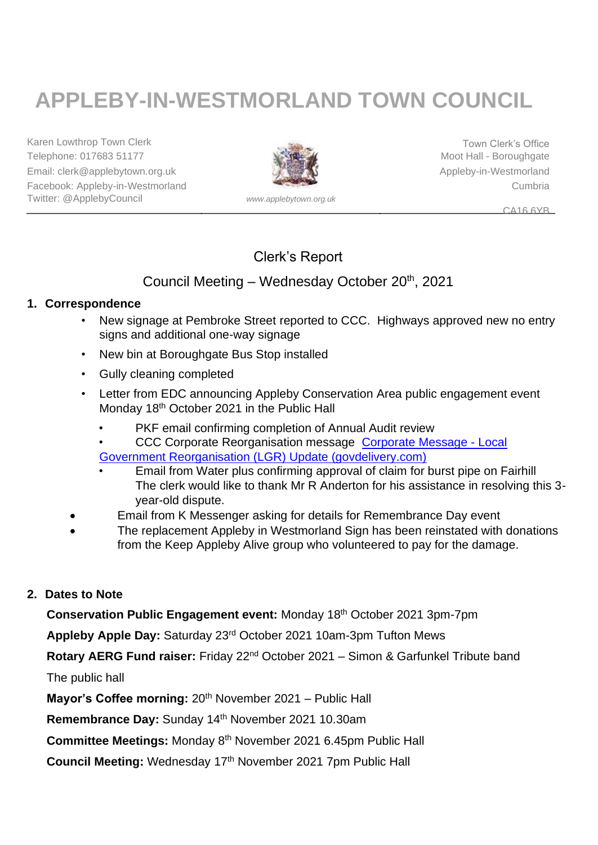# **APPLEBY-IN-WESTMORLAND TOWN COUNCIL**

Karen Lowthrop Town Clerk Town Clerk Town Clerk's Office Telephone: 017683 51177 **Moot Hall - Boroughgate** Moot Hall - Boroughgate Email: clerk@applebytown.org.uk Applebytown.org.uk Appleby-in-Westmorland Facebook: Appleby-in-Westmorland Cumbria Twitter: @ApplebyCouncil *www.applebytown.org.uk*



CA16 6YB

## Clerk's Report

## Council Meeting – Wednesday October 20<sup>th</sup>, 2021

## **1. Correspondence**

- New signage at Pembroke Street reported to CCC. Highways approved new no entry signs and additional one-way signage
- New bin at Boroughgate Bus Stop installed
- Gully cleaning completed
- Letter from EDC announcing Appleby Conservation Area public engagement event Monday 18<sup>th</sup> October 2021 in the Public Hall
	- PKF email confirming completion of Annual Audit review
	- CCC Corporate Reorganisation message [Corporate Message -](https://content.govdelivery.com/accounts/UKCCC_INTERNAL/bulletins/2f17e6e) Local

[Government Reorganisation \(LGR\) Update \(govdelivery.com\)](https://content.govdelivery.com/accounts/UKCCC_INTERNAL/bulletins/2f17e6e)

- Email from Water plus confirming approval of claim for burst pipe on Fairhill The clerk would like to thank Mr R Anderton for his assistance in resolving this 3 year-old dispute.
- Email from K Messenger asking for details for Remembrance Day event
- The replacement Appleby in Westmorland Sign has been reinstated with donations from the Keep Appleby Alive group who volunteered to pay for the damage.

## **2. Dates to Note**

**Conservation Public Engagement event:** Monday 18th October 2021 3pm-7pm

**Appleby Apple Day:** Saturday 23rd October 2021 10am-3pm Tufton Mews

**Rotary AERG Fund raiser:** Friday 22nd October 2021 – Simon & Garfunkel Tribute band

The public hall

**Mayor's Coffee morning:** 20<sup>th</sup> November 2021 – Public Hall

Remembrance Day: Sunday 14<sup>th</sup> November 2021 10.30am

Committee Meetings: Monday 8<sup>th</sup> November 2021 6.45pm Public Hall

**Council Meeting:** Wednesday 17th November 2021 7pm Public Hall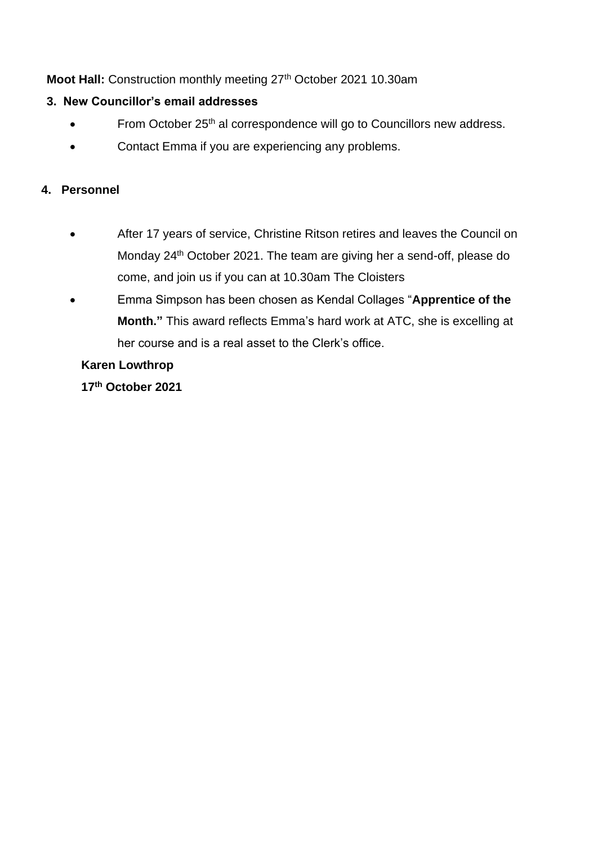## Moot Hall: Construction monthly meeting 27<sup>th</sup> October 2021 10.30am

## **3. New Councillor's email addresses**

- From October 25<sup>th</sup> al correspondence will go to Councillors new address.
- Contact Emma if you are experiencing any problems.

## **4. Personnel**

- After 17 years of service, Christine Ritson retires and leaves the Council on Monday 24th October 2021. The team are giving her a send-off, please do come, and join us if you can at 10.30am The Cloisters
- Emma Simpson has been chosen as Kendal Collages "**Apprentice of the Month."** This award reflects Emma's hard work at ATC, she is excelling at her course and is a real asset to the Clerk's office.

## **Karen Lowthrop**

**17th October 2021**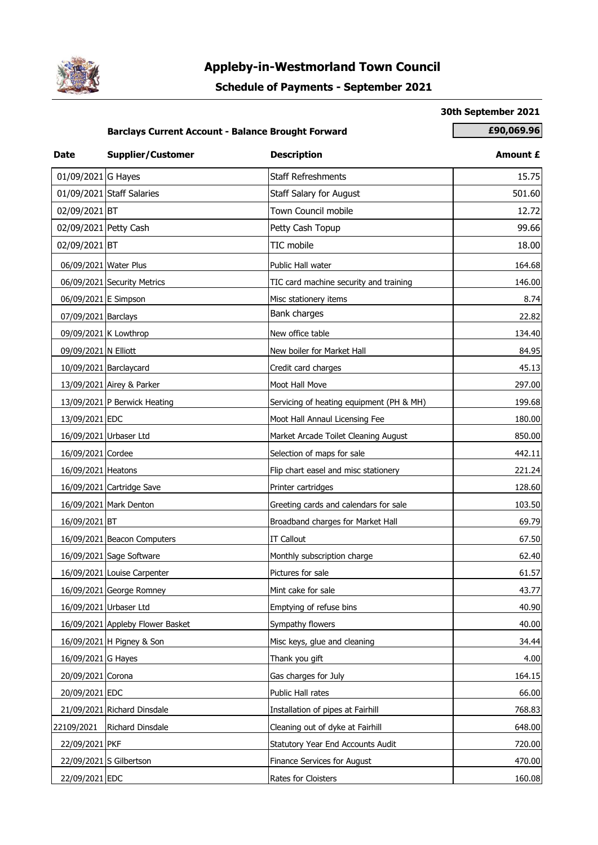

## **Appleby-in-Westmorland Town Council**

## **Schedule of Payments - September 2021**

#### **30th September 2021**

## **Barclays Current Account - Balance Brought Forward <b>1999.96 1996.069.96**

| <b>Date</b>           | <b>Supplier/Customer</b>         | <b>Description</b>                       | Amount £ |
|-----------------------|----------------------------------|------------------------------------------|----------|
| 01/09/2021 G Hayes    |                                  | <b>Staff Refreshments</b>                | 15.75    |
|                       | 01/09/2021 Staff Salaries        | <b>Staff Salary for August</b>           | 501.60   |
| 02/09/2021 BT         |                                  | Town Council mobile                      | 12.72    |
| 02/09/2021 Petty Cash |                                  | Petty Cash Topup                         | 99.66    |
| 02/09/2021 BT         |                                  | TIC mobile                               | 18.00    |
| 06/09/2021 Water Plus |                                  | Public Hall water                        | 164.68   |
|                       | 06/09/2021 Security Metrics      | TIC card machine security and training   | 146.00   |
| 06/09/2021 E Simpson  |                                  | Misc stationery items                    | 8.74     |
| 07/09/2021 Barclays   |                                  | Bank charges                             | 22.82    |
|                       | 09/09/2021 K Lowthrop            | New office table                         | 134.40   |
| 09/09/2021 N Elliott  |                                  | New boiler for Market Hall               | 84.95    |
|                       | 10/09/2021 Barclaycard           | Credit card charges                      | 45.13    |
|                       | 13/09/2021 Airey & Parker        | Moot Hall Move                           | 297.00   |
|                       | 13/09/2021 P Berwick Heating     | Servicing of heating equipment (PH & MH) | 199.68   |
| 13/09/2021 EDC        |                                  | Moot Hall Annaul Licensing Fee           | 180.00   |
|                       | 16/09/2021 Urbaser Ltd           | Market Arcade Toilet Cleaning August     | 850.00   |
| 16/09/2021 Cordee     |                                  | Selection of maps for sale               | 442.11   |
| 16/09/2021 Heatons    |                                  | Flip chart easel and misc stationery     | 221.24   |
|                       | 16/09/2021 Cartridge Save        | Printer cartridges                       | 128.60   |
|                       | 16/09/2021 Mark Denton           | Greeting cards and calendars for sale    | 103.50   |
| 16/09/2021 BT         |                                  | Broadband charges for Market Hall        | 69.79    |
|                       | 16/09/2021 Beacon Computers      | <b>IT Callout</b>                        | 67.50    |
|                       | 16/09/2021 Sage Software         | Monthly subscription charge              | 62.40    |
|                       | 16/09/2021 Louise Carpenter      | Pictures for sale                        | 61.57    |
|                       | 16/09/2021 George Romney         | Mint cake for sale                       | 43.77    |
|                       | 16/09/2021 Urbaser Ltd           | Emptying of refuse bins                  | 40.90    |
|                       | 16/09/2021 Appleby Flower Basket | Sympathy flowers                         | 40.00    |
|                       | 16/09/2021 H Pigney & Son        | Misc keys, glue and cleaning             | 34.44    |
| 16/09/2021 G Hayes    |                                  | Thank you gift                           | 4.00     |
| 20/09/2021 Corona     |                                  | Gas charges for July                     | 164.15   |
| 20/09/2021 EDC        |                                  | Public Hall rates                        | 66.00    |
|                       | 21/09/2021 Richard Dinsdale      | Installation of pipes at Fairhill        | 768.83   |
| 22109/2021            | Richard Dinsdale                 | Cleaning out of dyke at Fairhill         | 648.00   |
| 22/09/2021 PKF        |                                  | Statutory Year End Accounts Audit        | 720.00   |
|                       | 22/09/2021 S Gilbertson          | Finance Services for August              | 470.00   |
| 22/09/2021 EDC        |                                  | Rates for Cloisters                      | 160.08   |